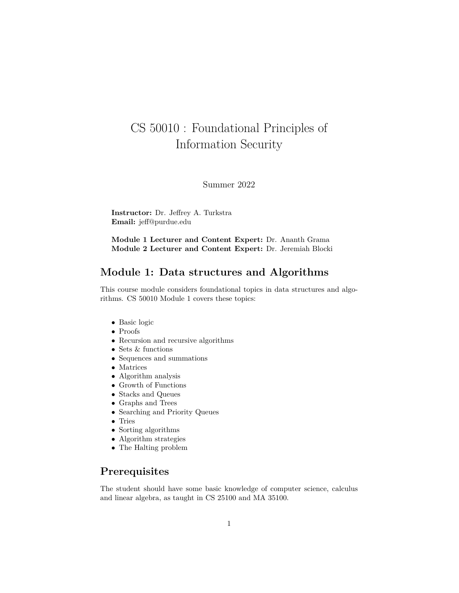# CS 50010 : Foundational Principles of Information Security

Summer 2022

**Instructor:** Dr. Jeffrey A. Turkstra **Email:** jeff@purdue.edu

**Module 1 Lecturer and Content Expert:** Dr. Ananth Grama **Module 2 Lecturer and Content Expert:** Dr. Jeremiah Blocki

#### **Module 1: Data structures and Algorithms**

This course module considers foundational topics in data structures and algorithms. CS 50010 Module 1 covers these topics:

- Basic logic
- $\bullet\,$  Proofs
- Recursion and recursive algorithms
- Sets & functions
- Sequences and summations
- Matrices
- Algorithm analysis
- Growth of Functions
- Stacks and Queues
- Graphs and Trees
- Searching and Priority Queues
- Tries
- Sorting algorithms
- Algorithm strategies
- The Halting problem

# **Prerequisites**

The student should have some basic knowledge of computer science, calculus and linear algebra, as taught in CS 25100 and MA 35100.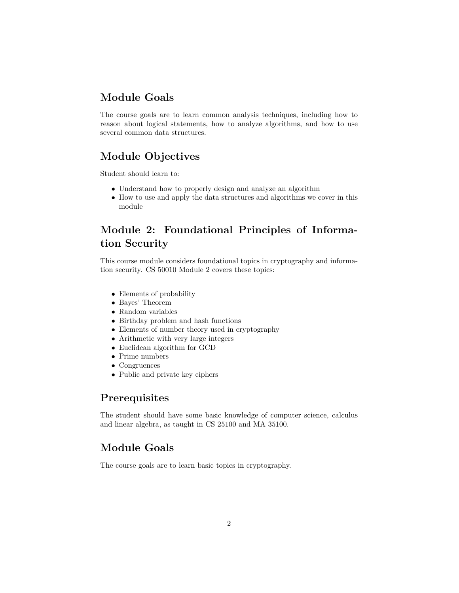# **Module Goals**

The course goals are to learn common analysis techniques, including how to reason about logical statements, how to analyze algorithms, and how to use several common data structures.

# **Module Objectives**

Student should learn to:

- Understand how to properly design and analyze an algorithm
- How to use and apply the data structures and algorithms we cover in this module

# **Module 2: Foundational Principles of Information Security**

This course module considers foundational topics in cryptography and information security. CS 50010 Module 2 covers these topics:

- Elements of probability
- Bayes' Theorem
- Random variables
- Birthday problem and hash functions
- Elements of number theory used in cryptography
- Arithmetic with very large integers
- Euclidean algorithm for GCD
- Prime numbers
- Congruences
- Public and private key ciphers

# **Prerequisites**

The student should have some basic knowledge of computer science, calculus and linear algebra, as taught in CS 25100 and MA 35100.

# **Module Goals**

The course goals are to learn basic topics in cryptography.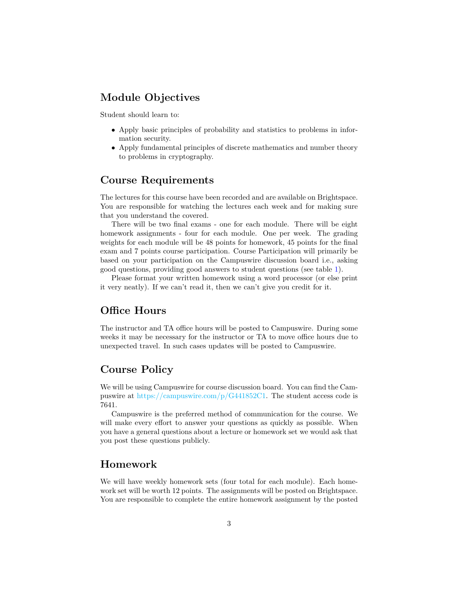#### **Module Objectives**

Student should learn to:

- Apply basic principles of probability and statistics to problems in information security.
- Apply fundamental principles of discrete mathematics and number theory to problems in cryptography.

#### **Course Requirements**

The lectures for this course have been recorded and are available on Brightspace. You are responsible for watching the lectures each week and for making sure that you understand the covered.

There will be two final exams - one for each module. There will be eight homework assignments - four for each module. One per week. The grading weights for each module will be 48 points for homework, 45 points for the final exam and 7 points course participation. Course Participation will primarily be based on your participation on the Campuswire discussion board i.e., asking good questions, providing good answers to student questions (see table [1\)](#page-7-0).

Please format your written homework using a word processor (or else print it very neatly). If we can't read it, then we can't give you credit for it.

#### **Office Hours**

The instructor and TA office hours will be posted to Campuswire. During some weeks it may be necessary for the instructor or TA to move office hours due to unexpected travel. In such cases updates will be posted to Campuswire.

# **Course Policy**

We will be using Campuswire for course discussion board. You can find the Campuswire at [https://campuswire.com/p/G441852C1.](https://campuswire.com/p/G441852C1) The student access code is 7641.

Campuswire is the preferred method of communication for the course. We will make every effort to answer your questions as quickly as possible. When you have a general questions about a lecture or homework set we would ask that you post these questions publicly.

#### **Homework**

We will have weekly homework sets (four total for each module). Each homework set will be worth 12 points. The assignments will be posted on Brightspace. You are responsible to complete the entire homework assignment by the posted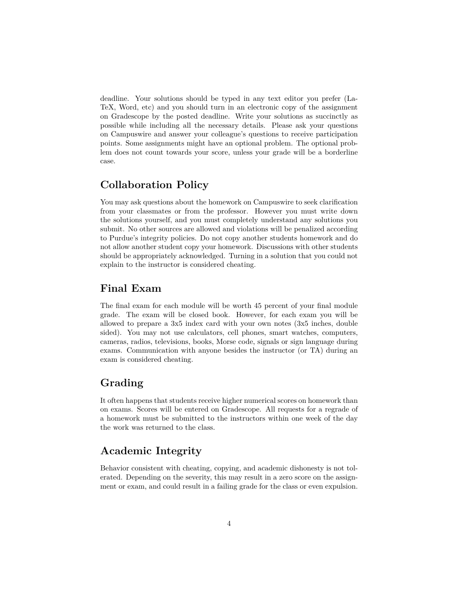deadline. Your solutions should be typed in any text editor you prefer (La-TeX, Word, etc) and you should turn in an electronic copy of the assignment on Gradescope by the posted deadline. Write your solutions as succinctly as possible while including all the necessary details. Please ask your questions on Campuswire and answer your colleague's questions to receive participation points. Some assignments might have an optional problem. The optional problem does not count towards your score, unless your grade will be a borderline case.

# **Collaboration Policy**

You may ask questions about the homework on Campuswire to seek clarification from your classmates or from the professor. However you must write down the solutions yourself, and you must completely understand any solutions you submit. No other sources are allowed and violations will be penalized according to Purdue's integrity policies. Do not copy another students homework and do not allow another student copy your homework. Discussions with other students should be appropriately acknowledged. Turning in a solution that you could not explain to the instructor is considered cheating.

#### **Final Exam**

The final exam for each module will be worth 45 percent of your final module grade. The exam will be closed book. However, for each exam you will be allowed to prepare a 3x5 index card with your own notes (3x5 inches, double sided). You may not use calculators, cell phones, smart watches, computers, cameras, radios, televisions, books, Morse code, signals or sign language during exams. Communication with anyone besides the instructor (or TA) during an exam is considered cheating.

#### **Grading**

It often happens that students receive higher numerical scores on homework than on exams. Scores will be entered on Gradescope. All requests for a regrade of a homework must be submitted to the instructors within one week of the day the work was returned to the class.

# **Academic Integrity**

Behavior consistent with cheating, copying, and academic dishonesty is not tolerated. Depending on the severity, this may result in a zero score on the assignment or exam, and could result in a failing grade for the class or even expulsion.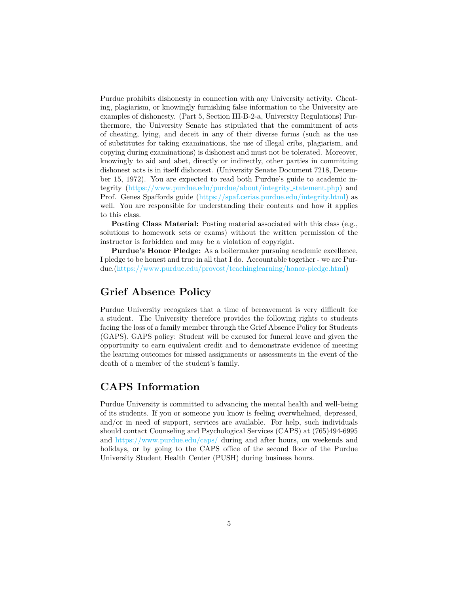Purdue prohibits dishonesty in connection with any University activity. Cheating, plagiarism, or knowingly furnishing false information to the University are examples of dishonesty. (Part 5, Section III-B-2-a, University Regulations) Furthermore, the University Senate has stipulated that the commitment of acts of cheating, lying, and deceit in any of their diverse forms (such as the use of substitutes for taking examinations, the use of illegal cribs, plagiarism, and copying during examinations) is dishonest and must not be tolerated. Moreover, knowingly to aid and abet, directly or indirectly, other parties in committing dishonest acts is in itself dishonest. (University Senate Document 7218, December 15, 1972). You are expected to read both Purdue's guide to academic integrity [\(https://www.purdue.edu/purdue/about/integrity](https://www.purdue.edu/purdue/about/integrity_statement.php) statement.php) and Prof. Genes Spaffords guide [\(https://spaf.cerias.purdue.edu/integrity.html\)](https://spaf.cerias.purdue.edu/integrity.html) as well. You are responsible for understanding their contents and how it applies to this class.

**Posting Class Material:** Posting material associated with this class (e.g., solutions to homework sets or exams) without the written permission of the instructor is forbidden and may be a violation of copyright.

**Purdue's Honor Pledge:** As a boilermaker pursuing academic excellence, I pledge to be honest and true in all that I do. Accountable together - we are Purdue.[\(https://www.purdue.edu/provost/teachinglearning/honor-pledge.html\)](https://www.purdue.edu/provost/teachinglearning/honor-pledge.html)

#### **Grief Absence Policy**

Purdue University recognizes that a time of bereavement is very difficult for a student. The University therefore provides the following rights to students facing the loss of a family member through the Grief Absence Policy for Students (GAPS). GAPS policy: Student will be excused for funeral leave and given the opportunity to earn equivalent credit and to demonstrate evidence of meeting the learning outcomes for missed assignments or assessments in the event of the death of a member of the student's family.

#### **CAPS Information**

Purdue University is committed to advancing the mental health and well-being of its students. If you or someone you know is feeling overwhelmed, depressed, and/or in need of support, services are available. For help, such individuals should contact Counseling and Psychological Services (CAPS) at (765)494-6995 and <https://www.purdue.edu/caps/> during and after hours, on weekends and holidays, or by going to the CAPS office of the second floor of the Purdue University Student Health Center (PUSH) during business hours.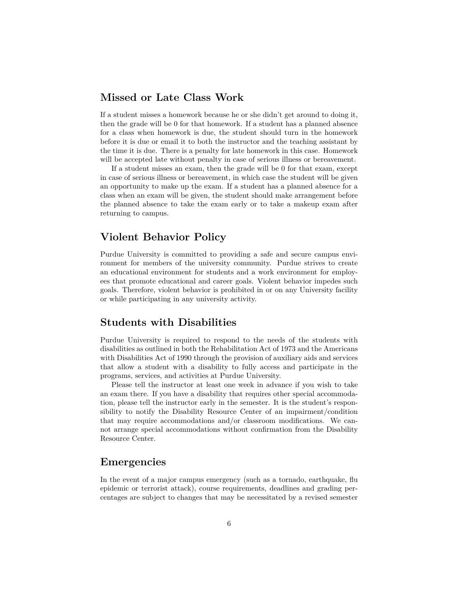#### **Missed or Late Class Work**

If a student misses a homework because he or she didn't get around to doing it, then the grade will be 0 for that homework. If a student has a planned absence for a class when homework is due, the student should turn in the homework before it is due or email it to both the instructor and the teaching assistant by the time it is due. There is a penalty for late homework in this case. Homework will be accepted late without penalty in case of serious illness or bereavement.

If a student misses an exam, then the grade will be 0 for that exam, except in case of serious illness or bereavement, in which case the student will be given an opportunity to make up the exam. If a student has a planned absence for a class when an exam will be given, the student should make arrangement before the planned absence to take the exam early or to take a makeup exam after returning to campus.

#### **Violent Behavior Policy**

Purdue University is committed to providing a safe and secure campus environment for members of the university community. Purdue strives to create an educational environment for students and a work environment for employees that promote educational and career goals. Violent behavior impedes such goals. Therefore, violent behavior is prohibited in or on any University facility or while participating in any university activity.

#### **Students with Disabilities**

Purdue University is required to respond to the needs of the students with disabilities as outlined in both the Rehabilitation Act of 1973 and the Americans with Disabilities Act of 1990 through the provision of auxiliary aids and services that allow a student with a disability to fully access and participate in the programs, services, and activities at Purdue University.

Please tell the instructor at least one week in advance if you wish to take an exam there. If you have a disability that requires other special accommodation, please tell the instructor early in the semester. It is the student's responsibility to notify the Disability Resource Center of an impairment/condition that may require accommodations and/or classroom modifications. We cannot arrange special accommodations without confirmation from the Disability Resource Center.

#### **Emergencies**

In the event of a major campus emergency (such as a tornado, earthquake, flu epidemic or terrorist attack), course requirements, deadlines and grading percentages are subject to changes that may be necessitated by a revised semester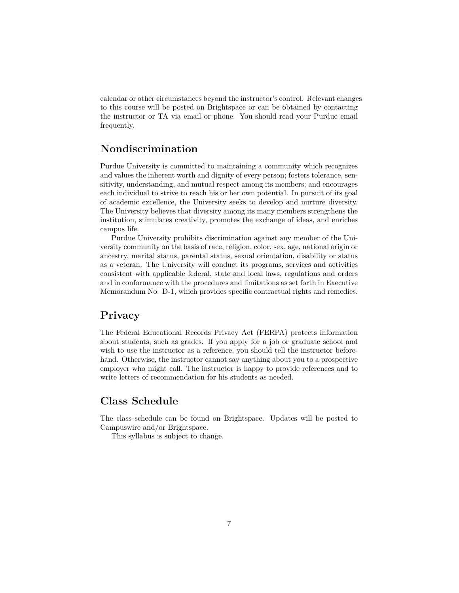calendar or other circumstances beyond the instructor's control. Relevant changes to this course will be posted on Brightspace or can be obtained by contacting the instructor or TA via email or phone. You should read your Purdue email frequently.

### **Nondiscrimination**

Purdue University is committed to maintaining a community which recognizes and values the inherent worth and dignity of every person; fosters tolerance, sensitivity, understanding, and mutual respect among its members; and encourages each individual to strive to reach his or her own potential. In pursuit of its goal of academic excellence, the University seeks to develop and nurture diversity. The University believes that diversity among its many members strengthens the institution, stimulates creativity, promotes the exchange of ideas, and enriches campus life.

Purdue University prohibits discrimination against any member of the University community on the basis of race, religion, color, sex, age, national origin or ancestry, marital status, parental status, sexual orientation, disability or status as a veteran. The University will conduct its programs, services and activities consistent with applicable federal, state and local laws, regulations and orders and in conformance with the procedures and limitations as set forth in Executive Memorandum No. D-1, which provides specific contractual rights and remedies.

#### **Privacy**

The Federal Educational Records Privacy Act (FERPA) protects information about students, such as grades. If you apply for a job or graduate school and wish to use the instructor as a reference, you should tell the instructor beforehand. Otherwise, the instructor cannot say anything about you to a prospective employer who might call. The instructor is happy to provide references and to write letters of recommendation for his students as needed.

### **Class Schedule**

The class schedule can be found on Brightspace. Updates will be posted to Campuswire and/or Brightspace.

This syllabus is subject to change.